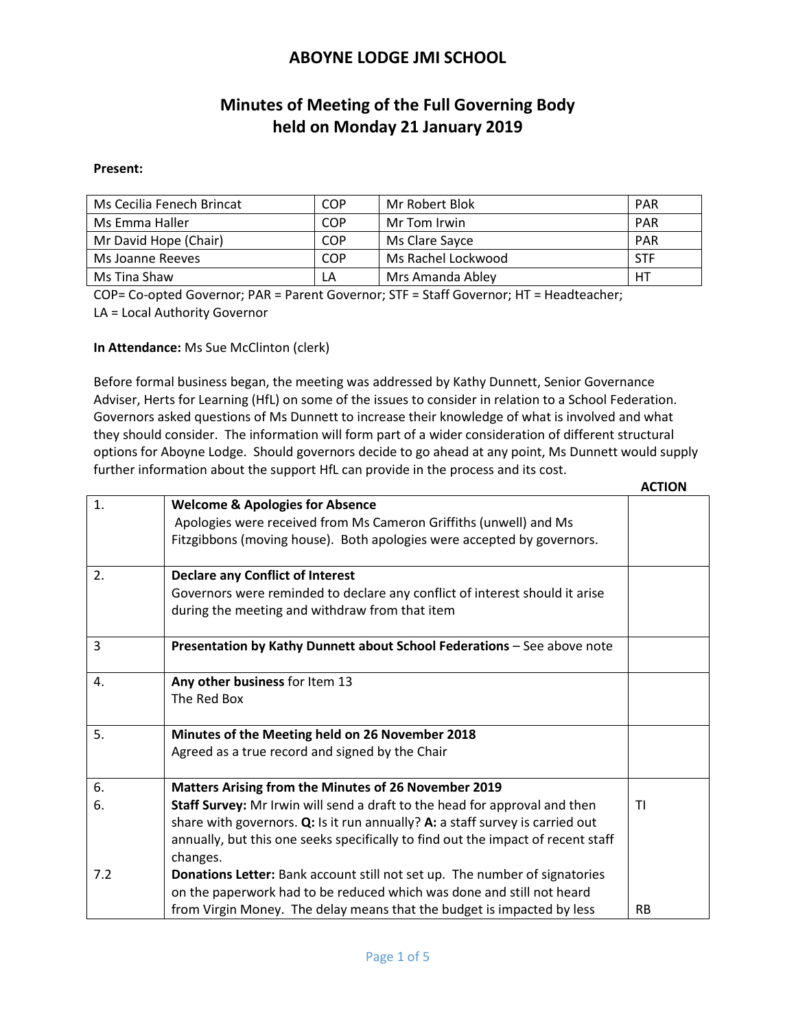# **Minutes of Meeting of the Full Governing Body held on Monday 21 January 2019**

#### **Present:**

| Ms Cecilia Fenech Brincat | COP | Mr Robert Blok     | <b>PAR</b> |
|---------------------------|-----|--------------------|------------|
| Ms Emma Haller            | COP | Mr Tom Irwin       | <b>PAR</b> |
| Mr David Hope (Chair)     | COP | Ms Clare Savce     | <b>PAR</b> |
| Ms Joanne Reeves          | COP | Ms Rachel Lockwood | STF        |
| Ms Tina Shaw              | LΑ  | Mrs Amanda Abley   | HТ         |

COP= Co-opted Governor; PAR = Parent Governor; STF = Staff Governor; HT = Headteacher; LA = Local Authority Governor

#### **In Attendance:** Ms Sue McClinton (clerk)

Before formal business began, the meeting was addressed by Kathy Dunnett, Senior Governance Adviser, Herts for Learning (HfL) on some of the issues to consider in relation to a School Federation. Governors asked questions of Ms Dunnett to increase their knowledge of what is involved and what they should consider. The information will form part of a wider consideration of different structural options for Aboyne Lodge. Should governors decide to go ahead at any point, Ms Dunnett would supply further information about the support HfL can provide in the process and its cost.  **ACTION**

|                |                                                                                  | <b>ACIIVI</b> |
|----------------|----------------------------------------------------------------------------------|---------------|
| 1.             | <b>Welcome &amp; Apologies for Absence</b>                                       |               |
|                | Apologies were received from Ms Cameron Griffiths (unwell) and Ms                |               |
|                | Fitzgibbons (moving house). Both apologies were accepted by governors.           |               |
| 2.             |                                                                                  |               |
|                | <b>Declare any Conflict of Interest</b>                                          |               |
|                | Governors were reminded to declare any conflict of interest should it arise      |               |
|                | during the meeting and withdraw from that item                                   |               |
| $\overline{3}$ | Presentation by Kathy Dunnett about School Federations - See above note          |               |
|                |                                                                                  |               |
| 4.             | Any other business for Item 13                                                   |               |
|                | The Red Box                                                                      |               |
|                |                                                                                  |               |
| 5.             | Minutes of the Meeting held on 26 November 2018                                  |               |
|                | Agreed as a true record and signed by the Chair                                  |               |
|                |                                                                                  |               |
| 6.             | Matters Arising from the Minutes of 26 November 2019                             |               |
| 6.             | Staff Survey: Mr Irwin will send a draft to the head for approval and then       | ΤI            |
|                | share with governors. $Q$ : Is it run annually? A: a staff survey is carried out |               |
|                | annually, but this one seeks specifically to find out the impact of recent staff |               |
|                | changes.                                                                         |               |
| 7.2            | Donations Letter: Bank account still not set up. The number of signatories       |               |
|                | on the paperwork had to be reduced which was done and still not heard            |               |
|                | from Virgin Money. The delay means that the budget is impacted by less           | <b>RB</b>     |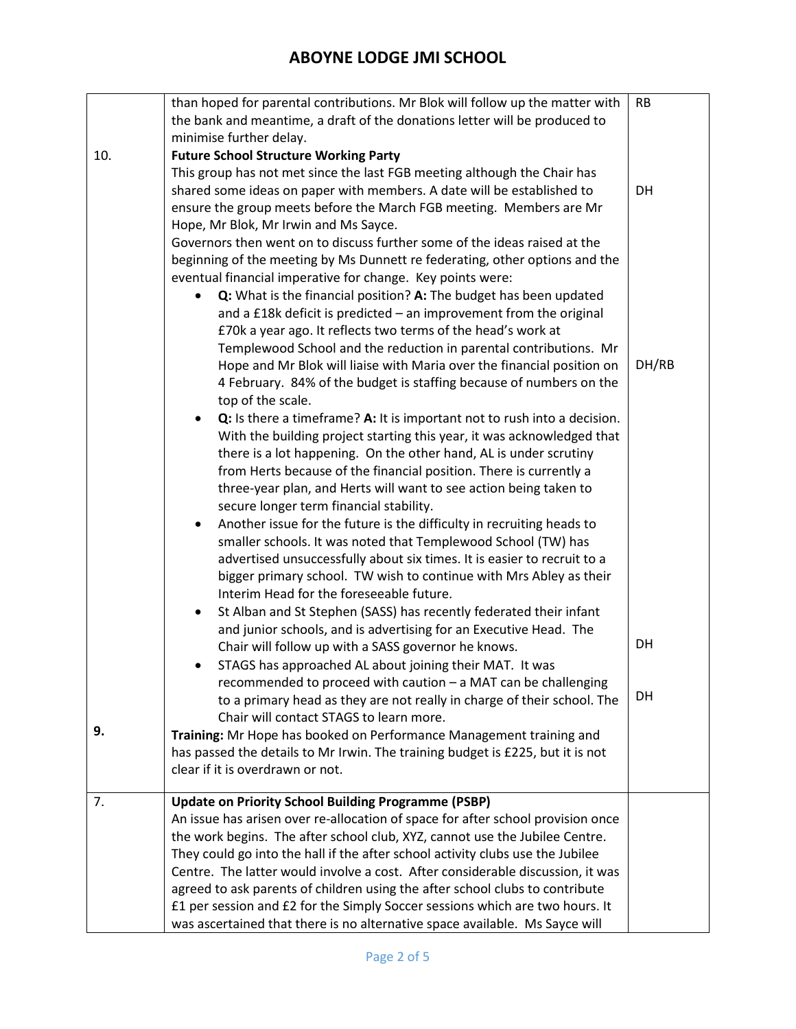|     | than hoped for parental contributions. Mr Blok will follow up the matter with      | <b>RB</b> |
|-----|------------------------------------------------------------------------------------|-----------|
|     | the bank and meantime, a draft of the donations letter will be produced to         |           |
|     | minimise further delay.                                                            |           |
| 10. | <b>Future School Structure Working Party</b>                                       |           |
|     | This group has not met since the last FGB meeting although the Chair has           |           |
|     | shared some ideas on paper with members. A date will be established to             | DH        |
|     | ensure the group meets before the March FGB meeting. Members are Mr                |           |
|     | Hope, Mr Blok, Mr Irwin and Ms Sayce.                                              |           |
|     | Governors then went on to discuss further some of the ideas raised at the          |           |
|     | beginning of the meeting by Ms Dunnett re federating, other options and the        |           |
|     | eventual financial imperative for change. Key points were:                         |           |
|     | Q: What is the financial position? A: The budget has been updated<br>$\bullet$     |           |
|     | and a £18k deficit is predicted - an improvement from the original                 |           |
|     | £70k a year ago. It reflects two terms of the head's work at                       |           |
|     | Templewood School and the reduction in parental contributions. Mr                  |           |
|     | Hope and Mr Blok will liaise with Maria over the financial position on             | DH/RB     |
|     | 4 February. 84% of the budget is staffing because of numbers on the                |           |
|     | top of the scale.                                                                  |           |
|     | Q: Is there a timeframe? A: It is important not to rush into a decision.           |           |
|     | With the building project starting this year, it was acknowledged that             |           |
|     | there is a lot happening. On the other hand, AL is under scrutiny                  |           |
|     | from Herts because of the financial position. There is currently a                 |           |
|     | three-year plan, and Herts will want to see action being taken to                  |           |
|     | secure longer term financial stability.                                            |           |
|     | Another issue for the future is the difficulty in recruiting heads to<br>$\bullet$ |           |
|     | smaller schools. It was noted that Templewood School (TW) has                      |           |
|     | advertised unsuccessfully about six times. It is easier to recruit to a            |           |
|     | bigger primary school. TW wish to continue with Mrs Abley as their                 |           |
|     | Interim Head for the foreseeable future.                                           |           |
|     |                                                                                    |           |
|     | St Alban and St Stephen (SASS) has recently federated their infant<br>$\bullet$    |           |
|     | and junior schools, and is advertising for an Executive Head. The                  | DH        |
|     | Chair will follow up with a SASS governor he knows.                                |           |
|     | STAGS has approached AL about joining their MAT. It was<br>$\bullet$               |           |
|     | recommended to proceed with caution - a MAT can be challenging                     | DH        |
|     | to a primary head as they are not really in charge of their school. The            |           |
| 9.  | Chair will contact STAGS to learn more.                                            |           |
|     | Training: Mr Hope has booked on Performance Management training and                |           |
|     | has passed the details to Mr Irwin. The training budget is £225, but it is not     |           |
|     | clear if it is overdrawn or not.                                                   |           |
| 7.  | <b>Update on Priority School Building Programme (PSBP)</b>                         |           |
|     | An issue has arisen over re-allocation of space for after school provision once    |           |
|     | the work begins. The after school club, XYZ, cannot use the Jubilee Centre.        |           |
|     | They could go into the hall if the after school activity clubs use the Jubilee     |           |
|     | Centre. The latter would involve a cost. After considerable discussion, it was     |           |
|     | agreed to ask parents of children using the after school clubs to contribute       |           |
|     | £1 per session and £2 for the Simply Soccer sessions which are two hours. It       |           |
|     | was ascertained that there is no alternative space available. Ms Sayce will        |           |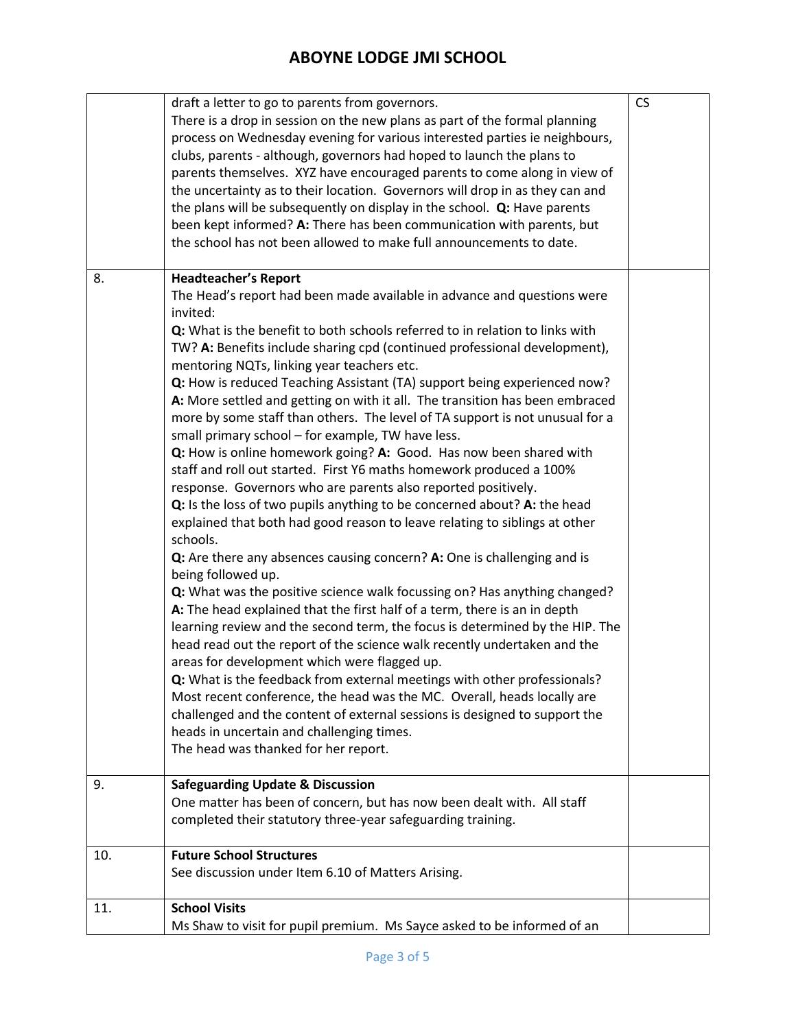|     | draft a letter to go to parents from governors.                              | <b>CS</b> |
|-----|------------------------------------------------------------------------------|-----------|
|     | There is a drop in session on the new plans as part of the formal planning   |           |
|     | process on Wednesday evening for various interested parties ie neighbours,   |           |
|     | clubs, parents - although, governors had hoped to launch the plans to        |           |
|     |                                                                              |           |
|     | parents themselves. XYZ have encouraged parents to come along in view of     |           |
|     | the uncertainty as to their location. Governors will drop in as they can and |           |
|     | the plans will be subsequently on display in the school. Q: Have parents     |           |
|     | been kept informed? A: There has been communication with parents, but        |           |
|     | the school has not been allowed to make full announcements to date.          |           |
|     |                                                                              |           |
| 8.  | <b>Headteacher's Report</b>                                                  |           |
|     | The Head's report had been made available in advance and questions were      |           |
|     | invited:                                                                     |           |
|     |                                                                              |           |
|     | Q: What is the benefit to both schools referred to in relation to links with |           |
|     | TW? A: Benefits include sharing cpd (continued professional development),    |           |
|     | mentoring NQTs, linking year teachers etc.                                   |           |
|     | Q: How is reduced Teaching Assistant (TA) support being experienced now?     |           |
|     | A: More settled and getting on with it all. The transition has been embraced |           |
|     | more by some staff than others. The level of TA support is not unusual for a |           |
|     | small primary school - for example, TW have less.                            |           |
|     |                                                                              |           |
|     | Q: How is online homework going? A: Good. Has now been shared with           |           |
|     | staff and roll out started. First Y6 maths homework produced a 100%          |           |
|     | response. Governors who are parents also reported positively.                |           |
|     | Q: Is the loss of two pupils anything to be concerned about? A: the head     |           |
|     | explained that both had good reason to leave relating to siblings at other   |           |
|     | schools.                                                                     |           |
|     |                                                                              |           |
|     | Q: Are there any absences causing concern? A: One is challenging and is      |           |
|     | being followed up.                                                           |           |
|     | Q: What was the positive science walk focussing on? Has anything changed?    |           |
|     | A: The head explained that the first half of a term, there is an in depth    |           |
|     | learning review and the second term, the focus is determined by the HIP. The |           |
|     | head read out the report of the science walk recently undertaken and the     |           |
|     | areas for development which were flagged up.                                 |           |
|     | Q: What is the feedback from external meetings with other professionals?     |           |
|     |                                                                              |           |
|     | Most recent conference, the head was the MC. Overall, heads locally are      |           |
|     | challenged and the content of external sessions is designed to support the   |           |
|     | heads in uncertain and challenging times.                                    |           |
|     | The head was thanked for her report.                                         |           |
|     |                                                                              |           |
| 9.  | <b>Safeguarding Update &amp; Discussion</b>                                  |           |
|     | One matter has been of concern, but has now been dealt with. All staff       |           |
|     | completed their statutory three-year safeguarding training.                  |           |
|     |                                                                              |           |
| 10. | <b>Future School Structures</b>                                              |           |
|     | See discussion under Item 6.10 of Matters Arising.                           |           |
|     |                                                                              |           |
| 11. | <b>School Visits</b>                                                         |           |
|     | Ms Shaw to visit for pupil premium. Ms Sayce asked to be informed of an      |           |
|     |                                                                              |           |